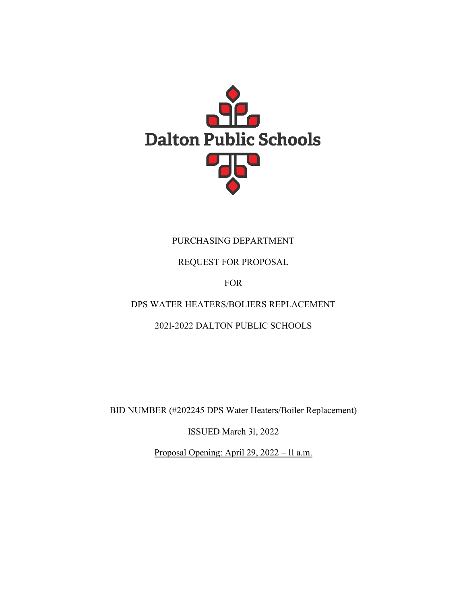

# PURCHASING DEPARTMENT

REQUEST FOR PROPOSAL

FOR

DPS WATER HEATERS/BOLIERS REPLACEMENT

2021-2022 DALTON PUBLIC SCHOOLS

BID NUMBER (#202245 DPS Water Heaters/Boiler Replacement)

ISSUED March 31, 2022

Proposal Opening: April 29, 2022 – 11 a.m.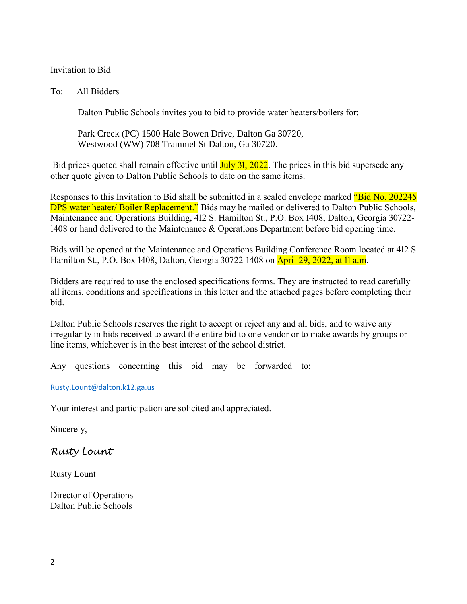#### Invitation to Bid

To: All Bidders

Dalton Public Schools invites you to bid to provide water heaters/boilers for:

Park Creek (PC) 1500 Hale Bowen Drive, Dalton Ga 30720, Westwood (WW) 708 Trammel St Dalton, Ga 30720.

Bid prices quoted shall remain effective until **July 31, 2022**. The prices in this bid supersede any other quote given to Dalton Public Schools to date on the same items.

Responses to this Invitation to Bid shall be submitted in a sealed envelope marked "Bid No. 202245" DPS water heater/ Boiler Replacement." Bids may be mailed or delivered to Dalton Public Schools, Maintenance and Operations Building, 412 S. Hamilton St., P.O. Box 1408, Dalton, Georgia 30722- 1408 or hand delivered to the Maintenance & Operations Department before bid opening time.

Bids will be opened at the Maintenance and Operations Building Conference Room located at 412 S. Hamilton St., P.O. Box 1408, Dalton, Georgia 30722-1408 on **April 29, 2022, at 11 a.m.** 

Bidders are required to use the enclosed specifications forms. They are instructed to read carefully all items, conditions and specifications in this letter and the attached pages before completing their bid.

Dalton Public Schools reserves the right to accept or reject any and all bids, and to waive any irregularity in bids received to award the entire bid to one vendor or to make awards by groups or line items, whichever is in the best interest of the school district.

Any questions concerning this bid may be forwarded to:

[Rusty.Lount@dalton.k12.ga.us](mailto:Rusty.Lount@dalton.k12.ga.us)

Your interest and participation are solicited and appreciated.

Sincerely,

*Rusty Lount*

Rusty Lount

Director of Operations Dalton Public Schools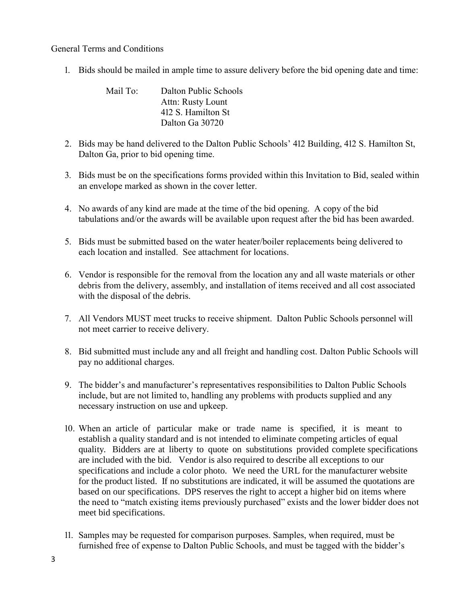General Terms and Conditions

1. Bids should be mailed in ample time to assure delivery before the bid opening date and time:

| Mail To: | Dalton Public Schools |
|----------|-----------------------|
|          | Attn: Rusty Lount     |
|          | 412 S. Hamilton St    |
|          | Dalton Ga 30720       |

- 2. Bids may be hand delivered to the Dalton Public Schools' 412 Building, 412 S. Hamilton St, Dalton Ga, prior to bid opening time.
- 3. Bids must be on the specifications forms provided within this Invitation to Bid, sealed within an envelope marked as shown in the cover letter.
- 4. No awards of any kind are made at the time of the bid opening. A copy of the bid tabulations and/or the awards will be available upon request after the bid has been awarded.
- 5. Bids must be submitted based on the water heater/boiler replacements being delivered to each location and installed. See attachment for locations.
- 6. Vendor is responsible for the removal from the location any and all waste materials or other debris from the delivery, assembly, and installation of items received and all cost associated with the disposal of the debris.
- 7. All Vendors MUST meet trucks to receive shipment. Dalton Public Schools personnel will not meet carrier to receive delivery.
- 8. Bid submitted must include any and all freight and handling cost. Dalton Public Schools will pay no additional charges.
- 9. The bidder's and manufacturer's representatives responsibilities to Dalton Public Schools include, but are not limited to, handling any problems with products supplied and any necessary instruction on use and upkeep.
- 10. When an article of particular make or trade name is specified, it is meant to establish a quality standard and is not intended to eliminate competing articles of equal quality. Bidders are at liberty to quote on substitutions provided complete specifications are included with the bid. Vendor is also required to describe all exceptions to our specifications and include a color photo. We need the URL for the manufacturer website for the product listed. If no substitutions are indicated, it will be assumed the quotations are based on our specifications. DPS reserves the right to accept a higher bid on items where the need to "match existing items previously purchased" exists and the lower bidder does not meet bid specifications.
- 11. Samples may be requested for comparison purposes. Samples, when required, must be furnished free of expense to Dalton Public Schools, and must be tagged with the bidder's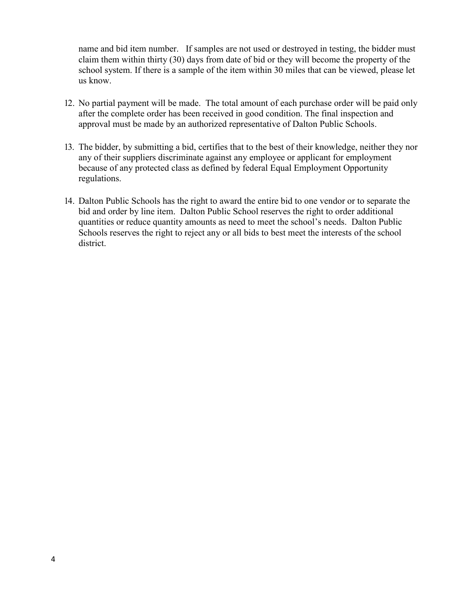name and bid item number. If samples are not used or destroyed in testing, the bidder must claim them within thirty (30) days from date of bid or they will become the property of the school system. If there is a sample of the item within 30 miles that can be viewed, please let us know.

- 12. No partial payment will be made. The total amount of each purchase order will be paid only after the complete order has been received in good condition. The final inspection and approval must be made by an authorized representative of Dalton Public Schools.
- 13. The bidder, by submitting a bid, certifies that to the best of their knowledge, neither they nor any of their suppliers discriminate against any employee or applicant for employment because of any protected class as defined by federal Equal Employment Opportunity regulations.
- 14. Dalton Public Schools has the right to award the entire bid to one vendor or to separate the bid and order by line item. Dalton Public School reserves the right to order additional quantities or reduce quantity amounts as need to meet the school's needs. Dalton Public Schools reserves the right to reject any or all bids to best meet the interests of the school district.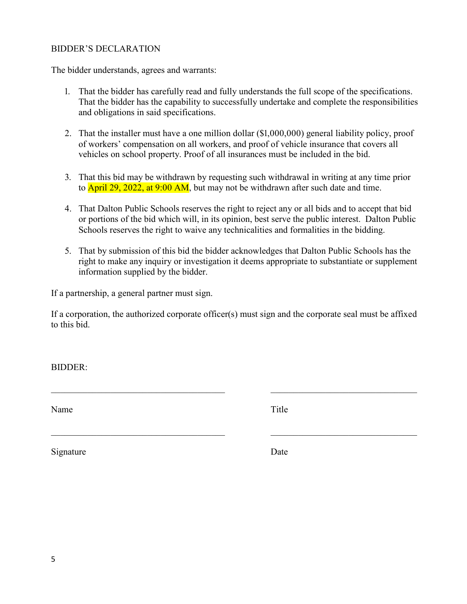#### BIDDER'S DECLARATION

The bidder understands, agrees and warrants:

- 1. That the bidder has carefully read and fully understands the full scope of the specifications. That the bidder has the capability to successfully undertake and complete the responsibilities and obligations in said specifications.
- 2. That the installer must have a one million dollar (\$1,000,000) general liability policy, proof of workers' compensation on all workers, and proof of vehicle insurance that covers all vehicles on school property. Proof of all insurances must be included in the bid.
- 3. That this bid may be withdrawn by requesting such withdrawal in writing at any time prior to **April 29, 2022, at 9:00 AM**, but may not be withdrawn after such date and time.
- 4. That Dalton Public Schools reserves the right to reject any or all bids and to accept that bid or portions of the bid which will, in its opinion, best serve the public interest. Dalton Public Schools reserves the right to waive any technicalities and formalities in the bidding.
- 5. That by submission of this bid the bidder acknowledges that Dalton Public Schools has the right to make any inquiry or investigation it deems appropriate to substantiate or supplement information supplied by the bidder.

If a partnership, a general partner must sign.

If a corporation, the authorized corporate officer(s) must sign and the corporate seal must be affixed to this bid.

BIDDER:

Name Title

Signature Date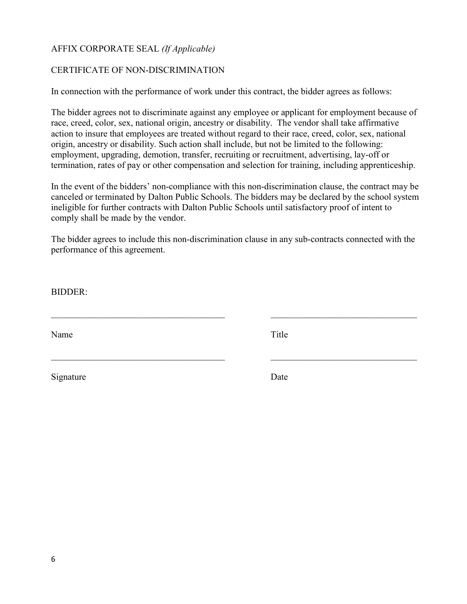# AFFIX CORPORATE SEAL *(If Applicable)*

## CERTIFICATE OF NON-DISCRIMINATION

In connection with the performance of work under this contract, the bidder agrees as follows:

The bidder agrees not to discriminate against any employee or applicant for employment because of race, creed, color, sex, national origin, ancestry or disability. The vendor shall take affirmative action to insure that employees are treated without regard to their race, creed, color, sex, national origin, ancestry or disability. Such action shall include, but not be limited to the following: employment, upgrading, demotion, transfer, recruiting or recruitment, advertising, lay-off or termination, rates of pay or other compensation and selection for training, including apprenticeship.

In the event of the bidders' non-compliance with this non-discrimination clause, the contract may be canceled or terminated by Dalton Public Schools. The bidders may be declared by the school system ineligible for further contracts with Dalton Public Schools until satisfactory proof of intent to comply shall be made by the vendor.

The bidder agrees to include this non-discrimination clause in any sub-contracts connected with the performance of this agreement.

BIDDER:

Name Title

Signature Date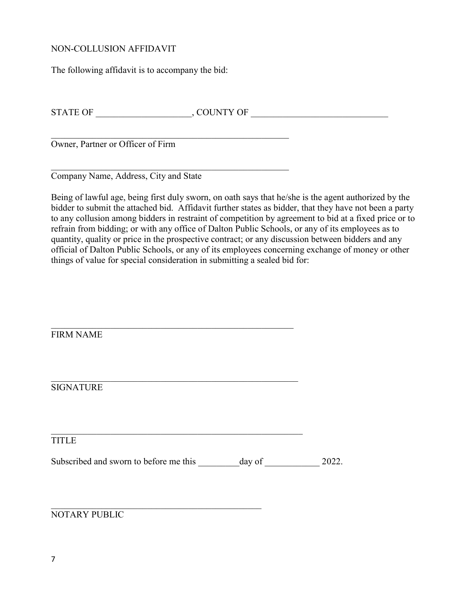#### NON-COLLUSION AFFIDAVIT

The following affidavit is to accompany the bid:

STATE OF \_\_\_\_\_\_\_\_\_\_\_\_\_\_\_\_\_\_\_\_\_, COUNTY OF \_\_\_\_\_\_\_\_\_\_\_\_\_\_\_\_\_\_\_\_\_\_\_\_\_\_\_\_\_\_

Owner, Partner or Officer of Firm

Company Name, Address, City and State

Being of lawful age, being first duly sworn, on oath says that he/she is the agent authorized by the bidder to submit the attached bid. Affidavit further states as bidder, that they have not been a party to any collusion among bidders in restraint of competition by agreement to bid at a fixed price or to refrain from bidding; or with any office of Dalton Public Schools, or any of its employees as to quantity, quality or price in the prospective contract; or any discussion between bidders and any official of Dalton Public Schools, or any of its employees concerning exchange of money or other things of value for special consideration in submitting a sealed bid for:

| <b>FIRM NAME</b>                       |        |       |
|----------------------------------------|--------|-------|
|                                        |        |       |
| <b>SIGNATURE</b>                       |        |       |
|                                        |        |       |
| <b>TITLE</b>                           |        |       |
| Subscribed and sworn to before me this | day of | 2022. |
|                                        |        |       |
| NOTARY PUBLIC                          |        |       |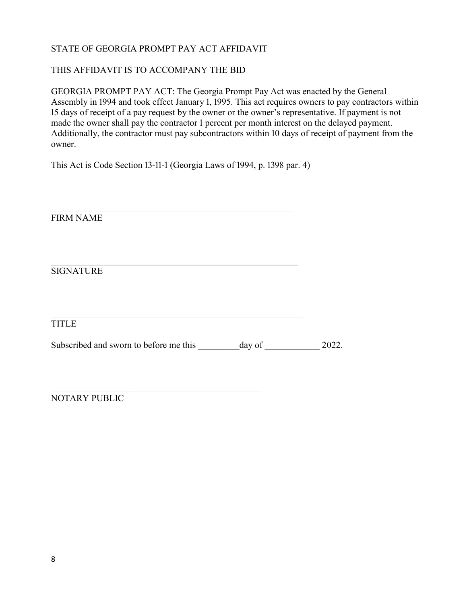# STATE OF GEORGIA PROMPT PAY ACT AFFIDAVIT

## THIS AFFIDAVIT IS TO ACCOMPANY THE BID

GEORGIA PROMPT PAY ACT: The Georgia Prompt Pay Act was enacted by the General Assembly in 1994 and took effect January 1, 1995. This act requires owners to pay contractors within 15 days of receipt of a pay request by the owner or the owner's representative. If payment is not made the owner shall pay the contractor 1 percent per month interest on the delayed payment. Additionally, the contractor must pay subcontractors within 10 days of receipt of payment from the owner.

This Act is Code Section 13-11-1 (Georgia Laws of 1994, p. 1398 par. 4)

FIRM NAME

SIGNATURE

TITLE

Subscribed and sworn to before me this \_\_\_\_\_\_\_\_\_ day of \_\_\_\_\_\_\_\_\_\_\_\_ 2022.

NOTARY PUBLIC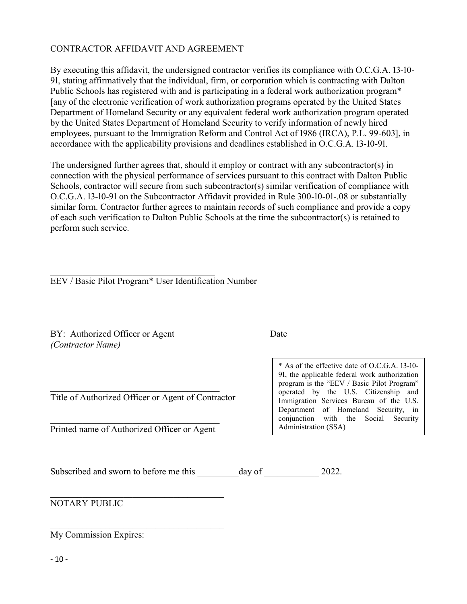## CONTRACTOR AFFIDAVIT AND AGREEMENT

By executing this affidavit, the undersigned contractor verifies its compliance with O.C.G.A. 13-10- 91, stating affirmatively that the individual, firm, or corporation which is contracting with Dalton Public Schools has registered with and is participating in a federal work authorization program<sup>\*</sup> [any of the electronic verification of work authorization programs operated by the United States Department of Homeland Security or any equivalent federal work authorization program operated by the United States Department of Homeland Security to verify information of newly hired employees, pursuant to the Immigration Reform and Control Act of 1986 (IRCA), P.L. 99-603], in accordance with the applicability provisions and deadlines established in O.C.G.A. 13-10-91.

The undersigned further agrees that, should it employ or contract with any subcontractor(s) in connection with the physical performance of services pursuant to this contract with Dalton Public Schools, contractor will secure from such subcontractor(s) similar verification of compliance with O.C.G.A. 13-10-91 on the Subcontractor Affidavit provided in Rule 300-10-01-.08 or substantially similar form. Contractor further agrees to maintain records of such compliance and provide a copy of each such verification to Dalton Public Schools at the time the subcontractor(s) is retained to perform such service.

EEV / Basic Pilot Program\* User Identification Number

BY: Authorized Officer or Agent Date *(Contractor Name)*

Title of Authorized Officer or Agent of Contractor

Printed name of Authorized Officer or Agent

\* As of the effective date of O.C.G.A. 13-10- 91, the applicable federal work authorization program is the "EEV / Basic Pilot Program" operated by the U.S. Citizenship and Immigration Services Bureau of the U.S. Department of Homeland Security, in conjunction with the Social Security Administration (SSA)

Subscribed and sworn to before me this day of 2022.

NOTARY PUBLIC

My Commission Expires:

- 10 -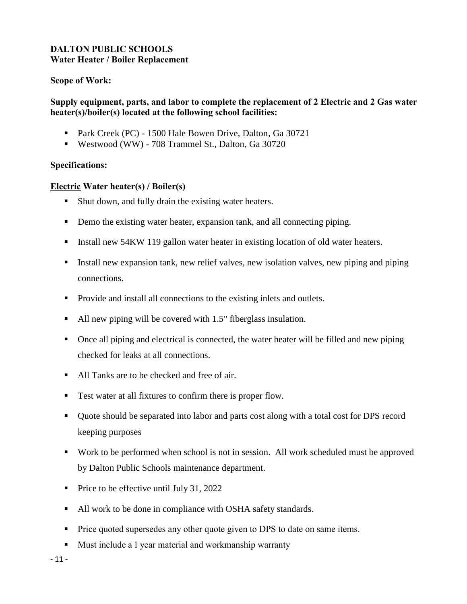# **DALTON PUBLIC SCHOOLS Water Heater / Boiler Replacement**

## **Scope of Work:**

# **Supply equipment, parts, and labor to complete the replacement of 2 Electric and 2 Gas water heater(s)/boiler(s) located at the following school facilities:**

- **Park Creek (PC) 1500 Hale Bowen Drive, Dalton, Ga 30721**
- Westwood (WW) 708 Trammel St., Dalton, Ga 30720

### **Specifications:**

## **Electric Water heater(s) / Boiler(s)**

- Shut down, and fully drain the existing water heaters.
- Demo the existing water heater, expansion tank, and all connecting piping.
- Install new 54KW 119 gallon water heater in existing location of old water heaters.
- Install new expansion tank, new relief valves, new isolation valves, new piping and piping connections.
- Provide and install all connections to the existing inlets and outlets.
- All new piping will be covered with 1.5" fiberglass insulation.
- Once all piping and electrical is connected, the water heater will be filled and new piping checked for leaks at all connections.
- All Tanks are to be checked and free of air.
- Test water at all fixtures to confirm there is proper flow.
- Quote should be separated into labor and parts cost along with a total cost for DPS record keeping purposes
- Work to be performed when school is not in session. All work scheduled must be approved by Dalton Public Schools maintenance department.
- Price to be effective until July 31, 2022
- All work to be done in compliance with OSHA safety standards.
- **Price quoted supersedes any other quote given to DPS to date on same items.**
- Must include a 1 year material and workmanship warranty

- 11 -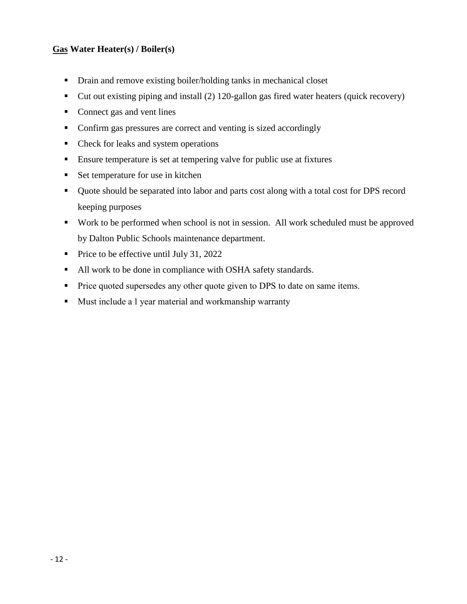# **Gas Water Heater(s) / Boiler(s)**

- Drain and remove existing boiler/holding tanks in mechanical closet
- Cut out existing piping and install (2) 120-gallon gas fired water heaters (quick recovery)
- Connect gas and vent lines
- Confirm gas pressures are correct and venting is sized accordingly
- Check for leaks and system operations
- Ensure temperature is set at tempering valve for public use at fixtures
- Set temperature for use in kitchen
- Quote should be separated into labor and parts cost along with a total cost for DPS record keeping purposes
- Work to be performed when school is not in session. All work scheduled must be approved by Dalton Public Schools maintenance department.
- Price to be effective until July 31, 2022
- All work to be done in compliance with OSHA safety standards.
- **Price quoted supersedes any other quote given to DPS to date on same items.**
- **Must include a 1 year material and workmanship warranty**